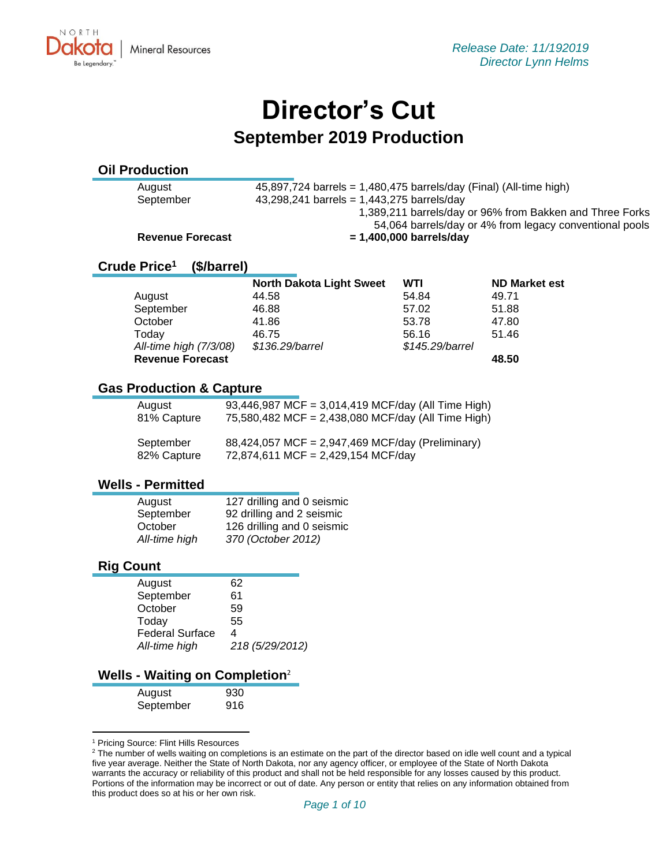# **Director's Cut September 2019 Production**

# **Oil Production**

August  $45,897,724$  barrels = 1,480,475 barrels/day (Final) (All-time high) September 43,298,241 barrels = 1,443,275 barrels/day 1,389,211 barrels/day or 96% from Bakken and Three Forks 54,064 barrels/day or 4% from legacy conventional pools

#### Revenue Forecast =  $1,400,000$  barrels/day

#### **Crude Price<sup>1</sup> (\$/barrel)**

|                         | <b>North Dakota Light Sweet</b> | <b>WTI</b>      | <b>ND Market est</b> |
|-------------------------|---------------------------------|-----------------|----------------------|
| August                  | 44.58                           | 54.84           | 49.71                |
| September               | 46.88                           | 57.02           | 51.88                |
| October                 | 41.86                           | 53.78           | 47.80                |
| Today                   | 46.75                           | 56.16           | 51.46                |
| All-time high (7/3/08)  | \$136.29/barrel                 | \$145.29/barrel |                      |
| <b>Revenue Forecast</b> |                                 |                 | 48.50                |

## **Gas Production & Capture**

| August      | 93,446,987 MCF = 3,014,419 MCF/day (All Time High) |
|-------------|----------------------------------------------------|
| 81% Capture | 75,580,482 MCF = 2,438,080 MCF/day (All Time High) |
| September   | 88,424,057 MCF = 2,947,469 MCF/day (Preliminary)   |
| 82% Capture | 72,874,611 MCF = 2,429,154 MCF/day                 |

#### **Wells - Permitted**

| August        | 127 drilling and 0 seismic |
|---------------|----------------------------|
| September     | 92 drilling and 2 seismic  |
| October       | 126 drilling and 0 seismic |
| All-time high | 370 (October 2012)         |

#### **Rig Count**

| August                 | 62              |
|------------------------|-----------------|
| September              | 61              |
| October                | 59              |
| Today                  | 55              |
| <b>Federal Surface</b> | 4               |
| All-time high          | 218 (5/29/2012) |
|                        |                 |

#### **Wells - Waiting on Completion**<sup>2</sup>

| August    | 930 |
|-----------|-----|
| September | 916 |

<sup>&</sup>lt;sup>1</sup> Pricing Source: Flint Hills Resources

<sup>&</sup>lt;sup>2</sup> The number of wells waiting on completions is an estimate on the part of the director based on idle well count and a typical five year average. Neither the State of North Dakota, nor any agency officer, or employee of the State of North Dakota warrants the accuracy or reliability of this product and shall not be held responsible for any losses caused by this product. Portions of the information may be incorrect or out of date. Any person or entity that relies on any information obtained from this product does so at his or her own risk.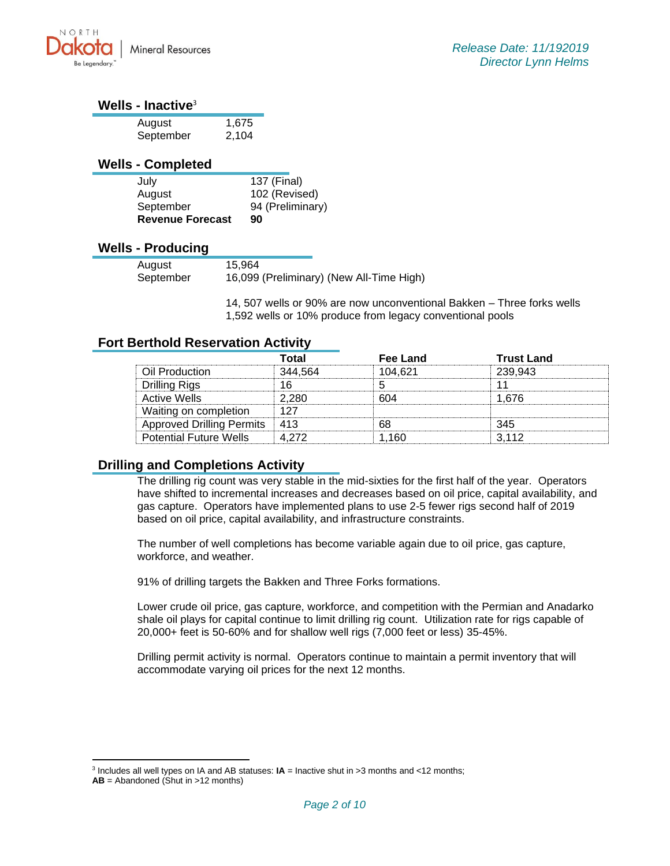

#### **Wells - Inactive**<sup>3</sup>

| August    | 1,675 |
|-----------|-------|
| September | 2,104 |

#### **Wells - Completed**

| July                    | 137 (Final)      |
|-------------------------|------------------|
| August                  | 102 (Revised)    |
| September               | 94 (Preliminary) |
| <b>Revenue Forecast</b> | 90               |

#### **Wells - Producing**

| 15.964<br>August |           |                                          |
|------------------|-----------|------------------------------------------|
|                  |           |                                          |
|                  |           |                                          |
|                  |           |                                          |
|                  | September | 16,099 (Preliminary) (New All-Time High) |

14, 507 wells or 90% are now unconventional Bakken – Three forks wells 1,592 wells or 10% produce from legacy conventional pools

## **Fort Berthold Reservation Activity**

|                                 | Total   | Fee Land | <b>Trust Land</b> |
|---------------------------------|---------|----------|-------------------|
| Oil Production                  | 344 564 | 104.621  | 239.943           |
| Drilling Rigs                   |         |          |                   |
| Active Wells                    | ን 280   |          | l 676             |
| Waiting on completion           |         |          |                   |
| Approved Drilling Permits   413 |         |          | 345               |
| <b>Potential Future Wells</b>   | A 272   | 160      | 3112              |

# **Drilling and Completions Activity**

The drilling rig count was very stable in the mid-sixties for the first half of the year. Operators have shifted to incremental increases and decreases based on oil price, capital availability, and gas capture. Operators have implemented plans to use 2-5 fewer rigs second half of 2019 based on oil price, capital availability, and infrastructure constraints.

The number of well completions has become variable again due to oil price, gas capture, workforce, and weather.

91% of drilling targets the Bakken and Three Forks formations.

Lower crude oil price, gas capture, workforce, and competition with the Permian and Anadarko shale oil plays for capital continue to limit drilling rig count. Utilization rate for rigs capable of 20,000+ feet is 50-60% and for shallow well rigs (7,000 feet or less) 35-45%.

Drilling permit activity is normal. Operators continue to maintain a permit inventory that will accommodate varying oil prices for the next 12 months.

<sup>&</sup>lt;sup>3</sup> Includes all well types on IA and AB statuses: **IA** = Inactive shut in >3 months and <12 months;

**AB** = Abandoned (Shut in >12 months)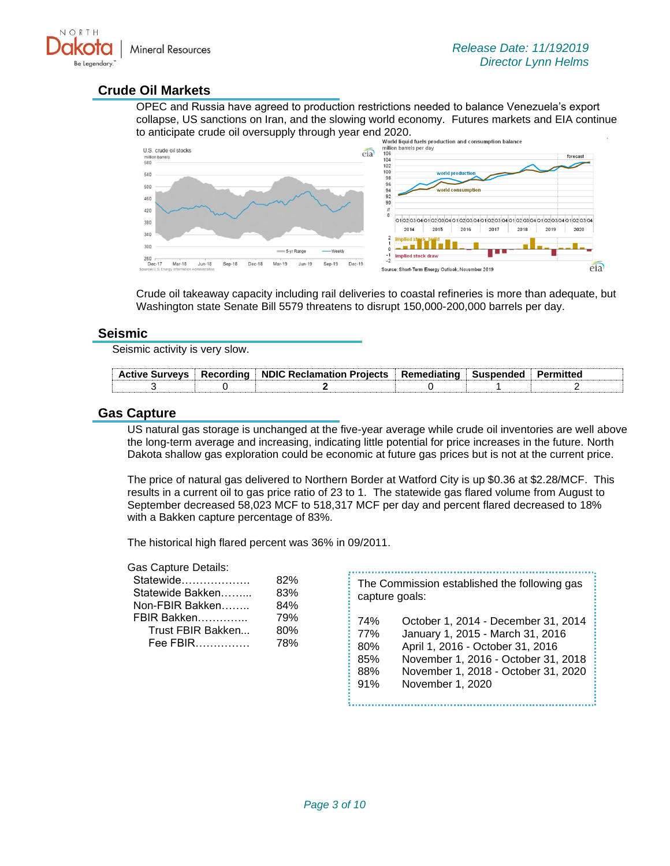

#### **Crude Oil Markets**

OPEC and Russia have agreed to production restrictions needed to balance Venezuela's export collapse, US sanctions on Iran, and the slowing world economy. Futures markets and EIA continue



Crude oil takeaway capacity including rail deliveries to coastal refineries is more than adequate, but Washington state Senate Bill 5579 threatens to disrupt 150,000-200,000 barrels per day.

#### **Seismic**

Seismic activity is very slow.

|  | .Active Survevs  Recording  NDIC Reclamation Proiects  Remediating  Suspended |  | Permitted |
|--|-------------------------------------------------------------------------------|--|-----------|
|  |                                                                               |  |           |

#### **Gas Capture**

US natural gas storage is unchanged at the five-year average while crude oil inventories are well above the long-term average and increasing, indicating little potential for price increases in the future. North Dakota shallow gas exploration could be economic at future gas prices but is not at the current price.

The price of natural gas delivered to Northern Border at Watford City is up \$0.36 at \$2.28/MCF. This results in a current oil to gas price ratio of 23 to 1. The statewide gas flared volume from August to September decreased 58,023 MCF to 518,317 MCF per day and percent flared decreased to 18% with a Bakken capture percentage of 83%.

The historical high flared percent was 36% in 09/2011.

#### Gas Capture Details:

| Statewide         | 82% |
|-------------------|-----|
| Statewide Bakken  | 83% |
| Non-FBIR Bakken   | 84% |
| FBIR Bakken       | 79% |
| Trust FBIR Bakken | 80% |
| Fee FBIR          | 78% |
|                   |     |

| capture goals: | The Commission established the following gas |
|----------------|----------------------------------------------|
| 74%            | October 1, 2014 - December 31, 2014          |
| 77%            | January 1, 2015 - March 31, 2016             |
| 80%            | April 1, 2016 - October 31, 2016             |
| 85%            | November 1, 2016 - October 31, 2018          |
| 88%            | November 1, 2018 - October 31, 2020          |
| 91%            | November 1, 2020                             |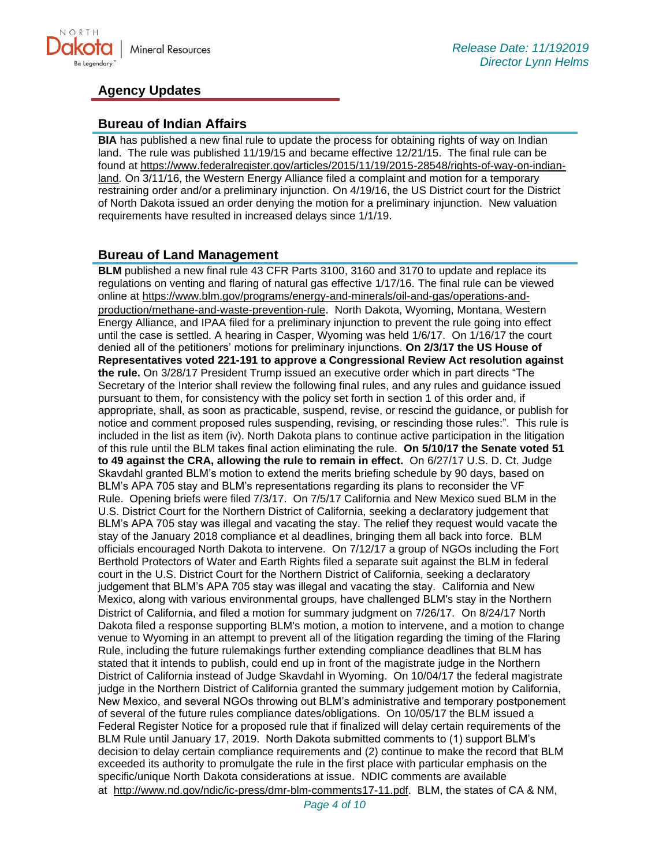

## **Agency Updates**

#### **Bureau of Indian Affairs**

**BIA** has published a new final rule to update the process for obtaining rights of way on Indian land. The rule was published 11/19/15 and became effective 12/21/15. The final rule can be found at [https://www.federalregister.gov/articles/2015/11/19/2015-28548/rights-of-way-on-indian](https://www.federalregister.gov/articles/2015/11/19/2015-28548/rights-of-way-on-indian-land)[land.](https://www.federalregister.gov/articles/2015/11/19/2015-28548/rights-of-way-on-indian-land) On 3/11/16, the Western Energy Alliance filed a complaint and motion for a temporary restraining order and/or a preliminary injunction. On 4/19/16, the US District court for the District of North Dakota issued an order denying the motion for a preliminary injunction. New valuation requirements have resulted in increased delays since 1/1/19.

#### **Bureau of Land Management**

**BLM** published a new final rule 43 CFR Parts 3100, 3160 and 3170 to update and replace its regulations on venting and flaring of natural gas effective 1/17/16. The final rule can be viewed online at [https://www.blm.gov/programs/energy-and-minerals/oil-and-gas/operations-and](https://www.blm.gov/programs/energy-and-minerals/oil-and-gas/operations-and-production/methane-and-waste-prevention-rule)[production/methane-and-waste-prevention-rule](https://www.blm.gov/programs/energy-and-minerals/oil-and-gas/operations-and-production/methane-and-waste-prevention-rule). North Dakota, Wyoming, Montana, Western Energy Alliance, and IPAA filed for a preliminary injunction to prevent the rule going into effect until the case is settled. A hearing in Casper, Wyoming was held 1/6/17. On 1/16/17 the court denied all of the petitioners' motions for preliminary injunctions. **On 2/3/17 the US House of Representatives voted 221-191 to approve a Congressional Review Act resolution against the rule.** On 3/28/17 President Trump issued an executive order which in part directs "The Secretary of the Interior shall review the following final rules, and any rules and guidance issued pursuant to them, for consistency with the policy set forth in section 1 of this order and, if appropriate, shall, as soon as practicable, suspend, revise, or rescind the guidance, or publish for notice and comment proposed rules suspending, revising, or rescinding those rules:". This rule is included in the list as item (iv). North Dakota plans to continue active participation in the litigation of this rule until the BLM takes final action eliminating the rule. **On 5/10/17 the Senate voted 51 to 49 against the CRA, allowing the rule to remain in effect.** On 6/27/17 U.S. D. Ct. Judge Skavdahl granted BLM's motion to extend the merits briefing schedule by 90 days, based on BLM's APA 705 stay and BLM's representations regarding its plans to reconsider the VF Rule. Opening briefs were filed 7/3/17. On 7/5/17 California and New Mexico sued BLM in the U.S. District Court for the Northern District of California, seeking a declaratory judgement that BLM's APA 705 stay was illegal and vacating the stay. The relief they request would vacate the stay of the January 2018 compliance et al deadlines, bringing them all back into force. BLM officials encouraged North Dakota to intervene. On 7/12/17 a group of NGOs including the Fort Berthold Protectors of Water and Earth Rights filed a separate suit against the BLM in federal court in the U.S. District Court for the Northern District of California, seeking a declaratory judgement that BLM's APA 705 stay was illegal and vacating the stay. California and New Mexico, along with various environmental groups, have challenged BLM's stay in the Northern District of California, and filed a motion for summary judgment on 7/26/17. On 8/24/17 North Dakota filed a response supporting BLM's motion, a motion to intervene, and a motion to change venue to Wyoming in an attempt to prevent all of the litigation regarding the timing of the Flaring Rule, including the future rulemakings further extending compliance deadlines that BLM has stated that it intends to publish, could end up in front of the magistrate judge in the Northern District of California instead of Judge Skavdahl in Wyoming. On 10/04/17 the federal magistrate judge in the Northern District of California granted the summary judgement motion by California, New Mexico, and several NGOs throwing out BLM's administrative and temporary postponement of several of the future rules compliance dates/obligations. On 10/05/17 the BLM issued a Federal Register Notice for a proposed rule that if finalized will delay certain requirements of the BLM Rule until January 17, 2019. North Dakota submitted comments to (1) support BLM's decision to delay certain compliance requirements and (2) continue to make the record that BLM exceeded its authority to promulgate the rule in the first place with particular emphasis on the specific/unique North Dakota considerations at issue. NDIC comments are available at [http://www.nd.gov/ndic/ic-press/dmr-blm-comments17-11.pdf.](http://www.nd.gov/ndic/ic-press/dmr-blm-comments17-11.pdf) BLM, the states of CA & NM,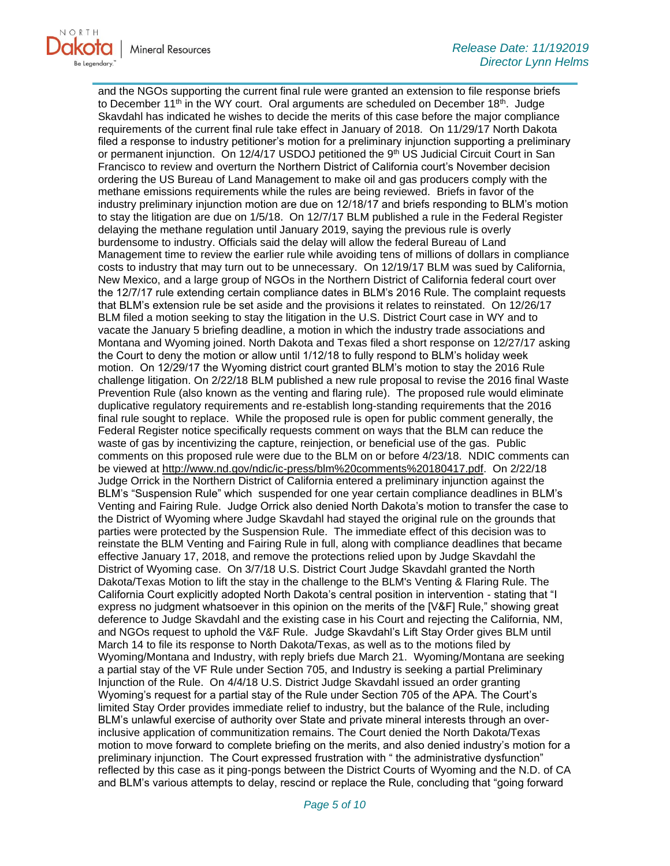

and the NGOs supporting the current final rule were granted an extension to file response briefs to December 11<sup>th</sup> in the WY court. Oral arguments are scheduled on December 18<sup>th</sup>. Judge Skavdahl has indicated he wishes to decide the merits of this case before the major compliance requirements of the current final rule take effect in January of 2018. On 11/29/17 North Dakota filed a response to industry petitioner's motion for a preliminary injunction supporting a preliminary or permanent injunction. On 12/4/17 USDOJ petitioned the 9<sup>th</sup> US Judicial Circuit Court in San Francisco to review and overturn the Northern District of California court's November decision ordering the US Bureau of Land Management to make oil and gas producers comply with the methane emissions requirements while the rules are being reviewed. Briefs in favor of the industry preliminary injunction motion are due on 12/18/17 and briefs responding to BLM's motion to stay the litigation are due on 1/5/18. On 12/7/17 BLM published a rule in the Federal Register delaying the methane regulation until January 2019, saying the previous rule is overly burdensome to industry. Officials said the delay will allow the federal Bureau of Land Management time to review the earlier rule while avoiding tens of millions of dollars in compliance costs to industry that may turn out to be unnecessary. On 12/19/17 BLM was sued by California, New Mexico, and a large group of NGOs in the Northern District of California federal court over the 12/7/17 rule extending certain compliance dates in BLM's 2016 Rule. The complaint requests that BLM's extension rule be set aside and the provisions it relates to reinstated. On 12/26/17 BLM filed a motion seeking to stay the litigation in the U.S. District Court case in WY and to vacate the January 5 briefing deadline, a motion in which the industry trade associations and Montana and Wyoming joined. North Dakota and Texas filed a short response on 12/27/17 asking the Court to deny the motion or allow until 1/12/18 to fully respond to BLM's holiday week motion. On 12/29/17 the Wyoming district court granted BLM's motion to stay the 2016 Rule challenge litigation. On 2/22/18 BLM published a new rule proposal to revise the 2016 final Waste Prevention Rule (also known as the venting and flaring rule). The proposed rule would eliminate duplicative regulatory requirements and re-establish long-standing requirements that the 2016 final rule sought to replace. While the proposed rule is open for public comment generally, the Federal Register notice specifically requests comment on ways that the BLM can reduce the waste of gas by incentivizing the capture, reinjection, or beneficial use of the gas. Public comments on this proposed rule were due to the BLM on or before 4/23/18. NDIC comments can be viewed at [http://www.nd.gov/ndic/ic-press/blm%20comments%20180417.pdf.](http://www.nd.gov/ndic/ic-press/blm%20comments%20180417.pdf) On 2/22/18 Judge Orrick in the Northern District of California entered a preliminary injunction against the BLM's "Suspension Rule" which suspended for one year certain compliance deadlines in BLM's Venting and Fairing Rule. Judge Orrick also denied North Dakota's motion to transfer the case to the District of Wyoming where Judge Skavdahl had stayed the original rule on the grounds that parties were protected by the Suspension Rule. The immediate effect of this decision was to reinstate the BLM Venting and Fairing Rule in full, along with compliance deadlines that became effective January 17, 2018, and remove the protections relied upon by Judge Skavdahl the District of Wyoming case. On 3/7/18 U.S. District Court Judge Skavdahl granted the North Dakota/Texas Motion to lift the stay in the challenge to the BLM's Venting & Flaring Rule. The California Court explicitly adopted North Dakota's central position in intervention - stating that "I express no judgment whatsoever in this opinion on the merits of the [V&F] Rule," showing great deference to Judge Skavdahl and the existing case in his Court and rejecting the California, NM, and NGOs request to uphold the V&F Rule. Judge Skavdahl's Lift Stay Order gives BLM until March 14 to file its response to North Dakota/Texas, as well as to the motions filed by Wyoming/Montana and Industry, with reply briefs due March 21. Wyoming/Montana are seeking a partial stay of the VF Rule under Section 705, and Industry is seeking a partial Preliminary Injunction of the Rule. On 4/4/18 U.S. District Judge Skavdahl issued an order granting Wyoming's request for a partial stay of the Rule under Section 705 of the APA. The Court's limited Stay Order provides immediate relief to industry, but the balance of the Rule, including BLM's unlawful exercise of authority over State and private mineral interests through an overinclusive application of communitization remains. The Court denied the North Dakota/Texas motion to move forward to complete briefing on the merits, and also denied industry's motion for a preliminary injunction. The Court expressed frustration with " the administrative dysfunction" reflected by this case as it ping-pongs between the District Courts of Wyoming and the N.D. of CA and BLM's various attempts to delay, rescind or replace the Rule, concluding that "going forward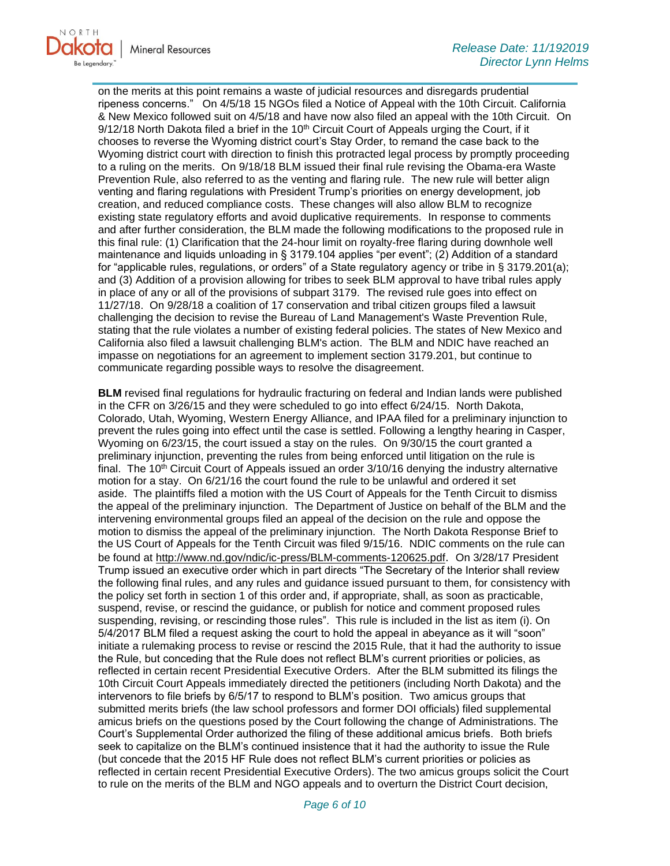

on the merits at this point remains a waste of judicial resources and disregards prudential ripeness concerns." On 4/5/18 15 NGOs filed a Notice of Appeal with the 10th Circuit. California & New Mexico followed suit on 4/5/18 and have now also filed an appeal with the 10th Circuit. On  $9/12/18$  North Dakota filed a brief in the 10<sup>th</sup> Circuit Court of Appeals urging the Court, if it chooses to reverse the Wyoming district court's Stay Order, to remand the case back to the Wyoming district court with direction to finish this protracted legal process by promptly proceeding to a ruling on the merits. On 9/18/18 BLM issued their final rule revising the Obama-era Waste Prevention Rule, also referred to as the venting and flaring rule. The new rule will better align venting and flaring regulations with President Trump's priorities on energy development, job creation, and reduced compliance costs. These changes will also allow BLM to recognize existing state regulatory efforts and avoid duplicative requirements. In response to comments and after further consideration, the BLM made the following modifications to the proposed rule in this final rule: (1) Clarification that the 24-hour limit on royalty-free flaring during downhole well maintenance and liquids unloading in § 3179.104 applies "per event"; (2) Addition of a standard for "applicable rules, regulations, or orders" of a State regulatory agency or tribe in § 3179.201(a); and (3) Addition of a provision allowing for tribes to seek BLM approval to have tribal rules apply in place of any or all of the provisions of subpart 3179. The revised rule goes into effect on 11/27/18. On 9/28/18 a coalition of 17 conservation and tribal citizen groups filed a lawsuit challenging the decision to revise the Bureau of Land Management's Waste Prevention Rule, stating that the rule violates a number of existing federal policies. The states of New Mexico and California also filed a lawsuit challenging BLM's action. The BLM and NDIC have reached an impasse on negotiations for an agreement to implement section 3179.201, but continue to communicate regarding possible ways to resolve the disagreement.

**BLM** revised final regulations for hydraulic fracturing on federal and Indian lands were published in the CFR on 3/26/15 and they were scheduled to go into effect 6/24/15. North Dakota, Colorado, Utah, Wyoming, Western Energy Alliance, and IPAA filed for a preliminary injunction to prevent the rules going into effect until the case is settled. Following a lengthy hearing in Casper, Wyoming on 6/23/15, the court issued a stay on the rules. On 9/30/15 the court granted a preliminary injunction, preventing the rules from being enforced until litigation on the rule is final. The 10<sup>th</sup> Circuit Court of Appeals issued an order  $3/10/16$  denying the industry alternative motion for a stay. On 6/21/16 the court found the rule to be unlawful and ordered it set aside. The plaintiffs filed a motion with the US Court of Appeals for the Tenth Circuit to dismiss the appeal of the preliminary injunction. The Department of Justice on behalf of the BLM and the intervening environmental groups filed an appeal of the decision on the rule and oppose the motion to dismiss the appeal of the preliminary injunction. The North Dakota Response Brief to the US Court of Appeals for the Tenth Circuit was filed 9/15/16. NDIC comments on the rule can be found at<http://www.nd.gov/ndic/ic-press/BLM-comments-120625.pdf>. On 3/28/17 President Trump issued an executive order which in part directs "The Secretary of the Interior shall review the following final rules, and any rules and guidance issued pursuant to them, for consistency with the policy set forth in section 1 of this order and, if appropriate, shall, as soon as practicable, suspend, revise, or rescind the guidance, or publish for notice and comment proposed rules suspending, revising, or rescinding those rules". This rule is included in the list as item (i). On 5/4/2017 BLM filed a request asking the court to hold the appeal in abeyance as it will "soon" initiate a rulemaking process to revise or rescind the 2015 Rule, that it had the authority to issue the Rule, but conceding that the Rule does not reflect BLM's current priorities or policies, as reflected in certain recent Presidential Executive Orders. After the BLM submitted its filings the 10th Circuit Court Appeals immediately directed the petitioners (including North Dakota) and the intervenors to file briefs by 6/5/17 to respond to BLM's position. Two amicus groups that submitted merits briefs (the law school professors and former DOI officials) filed supplemental amicus briefs on the questions posed by the Court following the change of Administrations. The Court's Supplemental Order authorized the filing of these additional amicus briefs. Both briefs seek to capitalize on the BLM's continued insistence that it had the authority to issue the Rule (but concede that the 2015 HF Rule does not reflect BLM's current priorities or policies as reflected in certain recent Presidential Executive Orders). The two amicus groups solicit the Court to rule on the merits of the BLM and NGO appeals and to overturn the District Court decision,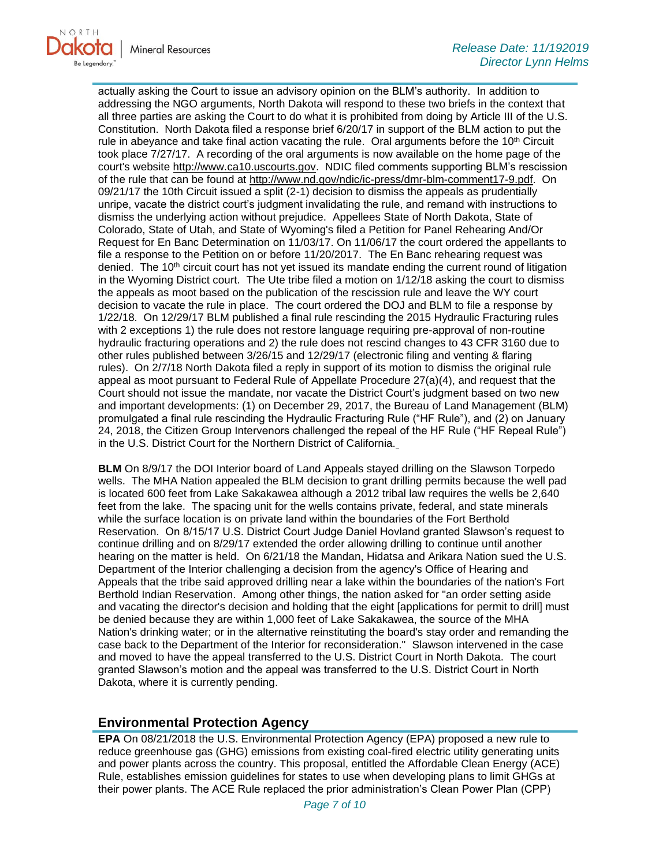actually asking the Court to issue an advisory opinion on the BLM's authority. In addition to addressing the NGO arguments, North Dakota will respond to these two briefs in the context that all three parties are asking the Court to do what it is prohibited from doing by Article III of the U.S. Constitution. North Dakota filed a response brief 6/20/17 in support of the BLM action to put the rule in abeyance and take final action vacating the rule. Oral arguments before the  $10<sup>th</sup>$  Circuit took place 7/27/17. A recording of the oral arguments is now available on the home page of the court's website [http://www.ca10.uscourts.gov.](https://urldefense.proofpoint.com/v2/url?u=http-3A__www.ca10.uscourts.gov&d=DwMGaQ&c=2s2mvbfY0UoSKkl6_Ol9wg&r=-wqsZnBxny594KY8HeElow&m=Ul_VtJUX6iW5pvHjCcBxUWtskC0F4Dhry3sPtcEHvCw&s=laRHiLDv5w8otcQWQjpn82WMieoB2AZ-Q4M1LFQPL5s&e=) NDIC filed comments supporting BLM's rescission of the rule that can be found at [http://www.nd.gov/ndic/ic-press/dmr-blm-comment17-9.pdf.](http://www.nd.gov/ndic/ic-press/dmr-blm-comment17-9.pdf) On 09/21/17 the 10th Circuit issued a split (2-1) decision to dismiss the appeals as prudentially unripe, vacate the district court's judgment invalidating the rule, and remand with instructions to dismiss the underlying action without prejudice. Appellees State of North Dakota, State of Colorado, State of Utah, and State of Wyoming's filed a Petition for Panel Rehearing And/Or Request for En Banc Determination on 11/03/17. On 11/06/17 the court ordered the appellants to file a response to the Petition on or before 11/20/2017. The En Banc rehearing request was denied. The  $10<sup>th</sup>$  circuit court has not yet issued its mandate ending the current round of litigation in the Wyoming District court. The Ute tribe filed a motion on 1/12/18 asking the court to dismiss the appeals as moot based on the publication of the rescission rule and leave the WY court decision to vacate the rule in place. The court ordered the DOJ and BLM to file a response by 1/22/18. On 12/29/17 BLM published a final rule rescinding the 2015 Hydraulic Fracturing rules with 2 exceptions 1) the rule does not restore language requiring pre-approval of non-routine hydraulic fracturing operations and 2) the rule does not rescind changes to 43 CFR 3160 due to other rules published between 3/26/15 and 12/29/17 (electronic filing and venting & flaring rules). On 2/7/18 North Dakota filed a reply in support of its motion to dismiss the original rule appeal as moot pursuant to Federal Rule of Appellate Procedure 27(a)(4), and request that the Court should not issue the mandate, nor vacate the District Court's judgment based on two new and important developments: (1) on December 29, 2017, the Bureau of Land Management (BLM) promulgated a final rule rescinding the Hydraulic Fracturing Rule ("HF Rule"), and (2) on January 24, 2018, the Citizen Group Intervenors challenged the repeal of the HF Rule ("HF Repeal Rule") in the U.S. District Court for the Northern District of California.

**BLM** On 8/9/17 the DOI Interior board of Land Appeals stayed drilling on the Slawson Torpedo wells. The MHA Nation appealed the BLM decision to grant drilling permits because the well pad is located 600 feet from Lake Sakakawea although a 2012 tribal law requires the wells be 2,640 feet from the lake. The spacing unit for the wells contains private, federal, and state minerals while the surface location is on private land within the boundaries of the Fort Berthold Reservation. On 8/15/17 U.S. District Court Judge Daniel Hovland granted Slawson's request to continue drilling and on 8/29/17 extended the order allowing drilling to continue until another hearing on the matter is held. On 6/21/18 the Mandan, Hidatsa and Arikara Nation sued the U.S. Department of the Interior challenging a decision from the agency's Office of Hearing and Appeals that the tribe said approved drilling near a lake within the boundaries of the nation's Fort Berthold Indian Reservation. Among other things, the nation asked for "an order setting aside and vacating the director's decision and holding that the eight [applications for permit to drill] must be denied because they are within 1,000 feet of Lake Sakakawea, the source of the MHA Nation's drinking water; or in the alternative reinstituting the board's stay order and remanding the case back to the Department of the Interior for reconsideration." Slawson intervened in the case and moved to have the appeal transferred to the U.S. District Court in North Dakota. The court granted Slawson's motion and the appeal was transferred to the U.S. District Court in North Dakota, where it is currently pending.

#### **Environmental Protection Agency**

**EPA** On 08/21/2018 the U.S. Environmental Protection Agency (EPA) proposed a new rule to reduce greenhouse gas (GHG) emissions from existing coal-fired electric utility generating units and power plants across the country. This proposal, entitled the Affordable Clean Energy (ACE) Rule, establishes emission guidelines for states to use when developing plans to limit GHGs at their power plants. The ACE Rule replaced the prior administration's Clean Power Plan (CPP)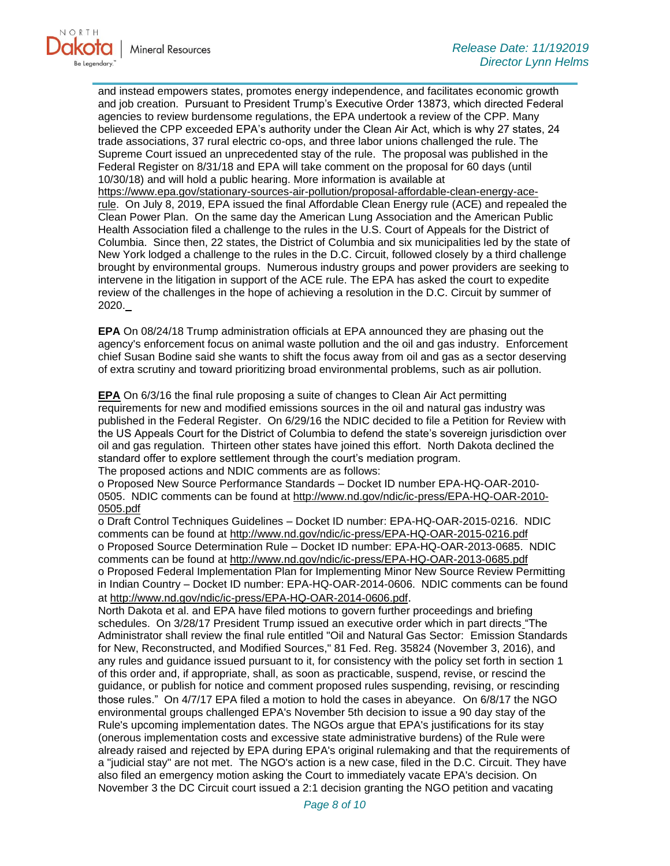

and instead empowers states, promotes energy independence, and facilitates economic growth and job creation. Pursuant to President Trump's Executive Order 13873, which directed Federal agencies to review burdensome regulations, the EPA undertook a review of the CPP. Many believed the CPP exceeded EPA's authority under the Clean Air Act, which is why 27 states, 24 trade associations, 37 rural electric co-ops, and three labor unions challenged the rule. The Supreme Court issued an unprecedented stay of the rule. The proposal was published in the Federal Register on 8/31/18 and EPA will take comment on the proposal for 60 days (until 10/30/18) and will hold a public hearing. More information is available at [https://www.epa.gov/stationary-sources-air-pollution/proposal-affordable-clean-energy-ace](https://www.epa.gov/stationary-sources-air-pollution/proposal-affordable-clean-energy-ace-rule)[rule.](https://www.epa.gov/stationary-sources-air-pollution/proposal-affordable-clean-energy-ace-rule) On July 8, 2019, EPA issued the final Affordable Clean Energy rule (ACE) and repealed the Clean Power Plan. On the same day the American Lung Association and the American Public Health Association filed a challenge to the rules in the U.S. Court of Appeals for the District of Columbia. Since then, 22 states, the District of Columbia and six municipalities led by the state of New York lodged a challenge to the rules in the D.C. Circuit, followed closely by a third challenge brought by environmental groups. Numerous industry groups and power providers are seeking to intervene in the litigation in support of the ACE rule. The EPA has asked the court to expedite review of the challenges in the hope of achieving a resolution in the D.C. Circuit by summer of 2020.

**EPA** On 08/24/18 Trump administration officials at EPA announced they are phasing out the agency's enforcement focus on animal waste pollution and the oil and gas industry. Enforcement chief Susan Bodine said she wants to shift the focus away from oil and gas as a sector deserving of extra scrutiny and toward prioritizing broad environmental problems, such as air pollution.

**EPA** On 6/3/16 the final rule proposing a suite of changes to Clean Air Act permitting requirements for new and modified emissions sources in the oil and natural gas industry was published in the Federal Register. On 6/29/16 the NDIC decided to file a Petition for Review with the US Appeals Court for the District of Columbia to defend the state's sovereign jurisdiction over oil and gas regulation. Thirteen other states have joined this effort. North Dakota declined the standard offer to explore settlement through the court's mediation program.

The proposed actions and NDIC comments are as follows:

o Proposed New Source Performance Standards – Docket ID number EPA-HQ-OAR-2010 0505. NDIC comments can be found at [http://www.nd.gov/ndic/ic-press/EPA-HQ-OAR-2010-](http://www.nd.gov/ndic/ic-press/EPA-HQ-OAR-2010-0505.pdf) [0505.pdf](http://www.nd.gov/ndic/ic-press/EPA-HQ-OAR-2010-0505.pdf)

o Draft Control Techniques Guidelines – Docket ID number: EPA-HQ-OAR-2015-0216. NDIC comments can be found at<http://www.nd.gov/ndic/ic-press/EPA-HQ-OAR-2015-0216.pdf> o Proposed Source Determination Rule – Docket ID number: EPA-HQ-OAR-2013-0685. NDIC comments can be found at<http://www.nd.gov/ndic/ic-press/EPA-HQ-OAR-2013-0685.pdf> o Proposed Federal Implementation Plan for Implementing Minor New Source Review Permitting in Indian Country – Docket ID number: EPA-HQ-OAR-2014-0606. NDIC comments can be found at<http://www.nd.gov/ndic/ic-press/EPA-HQ-OAR-2014-0606.pdf>.

North Dakota et al. and EPA have filed motions to govern further proceedings and briefing schedules. On 3/28/17 President Trump issued an executive order which in part directs "The Administrator shall review the final rule entitled "Oil and Natural Gas Sector: Emission Standards for New, Reconstructed, and Modified Sources," 81 Fed. Reg. 35824 (November 3, 2016), and any rules and guidance issued pursuant to it, for consistency with the policy set forth in section 1 of this order and, if appropriate, shall, as soon as practicable, suspend, revise, or rescind the guidance, or publish for notice and comment proposed rules suspending, revising, or rescinding those rules." On 4/7/17 EPA filed a motion to hold the cases in abeyance. On 6/8/17 the NGO environmental groups challenged EPA's November 5th decision to issue a 90 day stay of the Rule's upcoming implementation dates. The NGOs argue that EPA's justifications for its stay (onerous implementation costs and excessive state administrative burdens) of the Rule were already raised and rejected by EPA during EPA's original rulemaking and that the requirements of a "judicial stay" are not met. The NGO's action is a new case, filed in the D.C. Circuit. They have also filed an emergency motion asking the Court to immediately vacate EPA's decision. On November 3 the DC Circuit court issued a 2:1 decision granting the NGO petition and vacating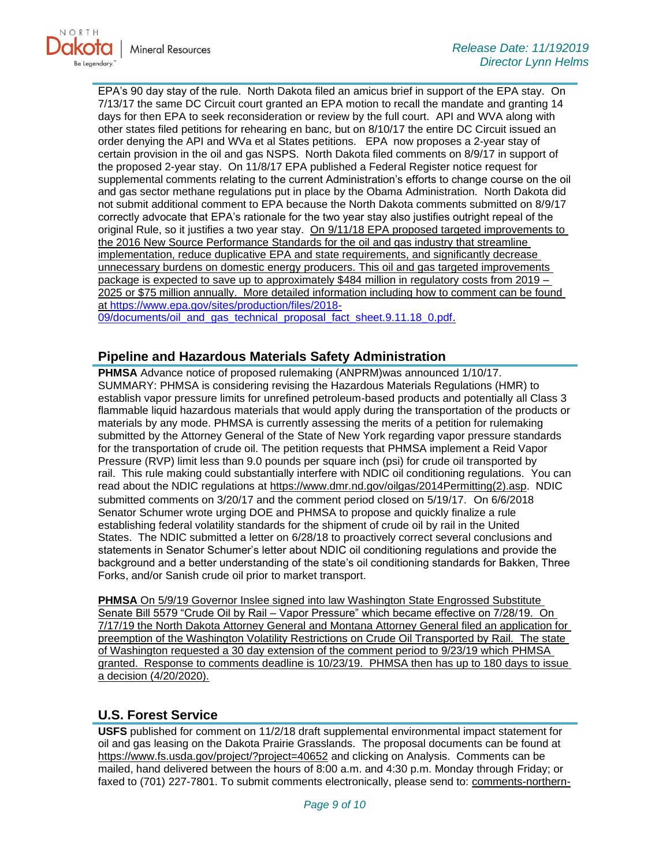

EPA's 90 day stay of the rule. North Dakota filed an amicus brief in support of the EPA stay. On 7/13/17 the same DC Circuit court granted an EPA motion to recall the mandate and granting 14 days for then EPA to seek reconsideration or review by the full court. API and WVA along with other states filed petitions for rehearing en banc, but on 8/10/17 the entire DC Circuit issued an order denying the API and WVa et al States petitions. EPA now proposes a 2-year stay of certain provision in the oil and gas NSPS. North Dakota filed comments on 8/9/17 in support of the proposed 2-year stay. On 11/8/17 EPA published a Federal Register notice request for supplemental comments relating to the current Administration's efforts to change course on the oil and gas sector methane regulations put in place by the Obama Administration. North Dakota did not submit additional comment to EPA because the North Dakota comments submitted on 8/9/17 correctly advocate that EPA's rationale for the two year stay also justifies outright repeal of the original Rule, so it justifies a two year stay. On 9/11/18 EPA proposed targeted improvements to the 2016 New Source Performance Standards for the oil and gas industry that streamline implementation, reduce duplicative EPA and state requirements, and significantly decrease unnecessary burdens on domestic energy producers. This oil and gas targeted improvements package is expected to save up to approximately \$484 million in regulatory costs from 2019 – 2025 or \$75 million annually. More detailed information including how to comment can be found at [https://www.epa.gov/sites/production/files/2018-](https://www.epa.gov/sites/production/files/2018-09/documents/oil_and_gas_technical_proposal_fact_sheet.9.11.18_0.pdf) [09/documents/oil\\_and\\_gas\\_technical\\_proposal\\_fact\\_sheet.9.11.18\\_0.pdf.](https://www.epa.gov/sites/production/files/2018-09/documents/oil_and_gas_technical_proposal_fact_sheet.9.11.18_0.pdf)

# **Pipeline and Hazardous Materials Safety Administration**

**PHMSA** Advance notice of proposed rulemaking (ANPRM)was announced 1/10/17. SUMMARY: PHMSA is considering revising the Hazardous Materials Regulations (HMR) to establish vapor pressure limits for unrefined petroleum-based products and potentially all Class 3 flammable liquid hazardous materials that would apply during the transportation of the products or materials by any mode. PHMSA is currently assessing the merits of a petition for rulemaking submitted by the Attorney General of the State of New York regarding vapor pressure standards for the transportation of crude oil. The petition requests that PHMSA implement a Reid Vapor Pressure (RVP) limit less than 9.0 pounds per square inch (psi) for crude oil transported by rail. This rule making could substantially interfere with NDIC oil conditioning regulations. You can read about the NDIC regulations at [https://www.dmr.nd.gov/oilgas/2014Permitting\(2\).asp.](https://www.dmr.nd.gov/oilgas/2014Permitting(2).asp) NDIC submitted comments on 3/20/17 and the comment period closed on 5/19/17. On 6/6/2018 Senator Schumer wrote urging DOE and PHMSA to propose and quickly finalize a rule establishing federal volatility standards for the shipment of crude oil by rail in the United States. The NDIC submitted a letter on 6/28/18 to proactively correct several conclusions and statements in Senator Schumer's letter about NDIC oil conditioning regulations and provide the background and a better understanding of the state's oil conditioning standards for Bakken, Three Forks, and/or Sanish crude oil prior to market transport.

**PHMSA** On 5/9/19 Governor Inslee signed into law Washington State Engrossed Substitute Senate Bill 5579 "Crude Oil by Rail – Vapor Pressure" which became effective on 7/28/19. On 7/17/19 the North Dakota Attorney General and Montana Attorney General filed an application for preemption of the Washington Volatility Restrictions on Crude Oil Transported by Rail. The state of Washington requested a 30 day extension of the comment period to 9/23/19 which PHMSA granted. Response to comments deadline is 10/23/19. PHMSA then has up to 180 days to issue a decision (4/20/2020).

# **U.S. Forest Service**

**USFS** published for comment on 11/2/18 draft supplemental environmental impact statement for oil and gas leasing on the Dakota Prairie Grasslands. The proposal documents can be found at <https://www.fs.usda.gov/project/?project=40652> and clicking on Analysis. Comments can be mailed, hand delivered between the hours of 8:00 a.m. and 4:30 p.m. Monday through Friday; or faxed to (701) 227-7801. To submit comments electronically, please send to: [comments-northern-](mailto:comments-northern-dakota-prairie@fs.fed.us)